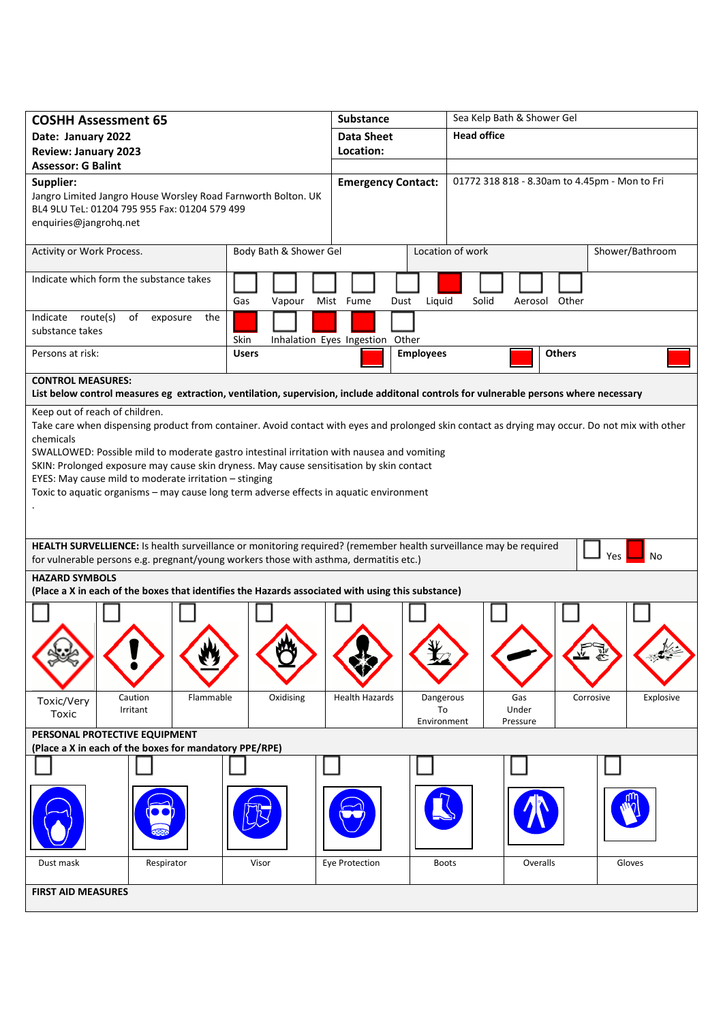| <b>COSHH Assessment 65</b>                                                                                                                                                                                                                                                                                                                                                                                                                                                                                                                    |                        | Substance                                               | Sea Kelp Bath & Shower Gel                    |                        |  |  |
|-----------------------------------------------------------------------------------------------------------------------------------------------------------------------------------------------------------------------------------------------------------------------------------------------------------------------------------------------------------------------------------------------------------------------------------------------------------------------------------------------------------------------------------------------|------------------------|---------------------------------------------------------|-----------------------------------------------|------------------------|--|--|
| Date: January 2022                                                                                                                                                                                                                                                                                                                                                                                                                                                                                                                            |                        | <b>Data Sheet</b>                                       | <b>Head office</b>                            |                        |  |  |
| <b>Review: January 2023</b>                                                                                                                                                                                                                                                                                                                                                                                                                                                                                                                   |                        | Location:                                               |                                               |                        |  |  |
| <b>Assessor: G Balint</b>                                                                                                                                                                                                                                                                                                                                                                                                                                                                                                                     |                        |                                                         |                                               |                        |  |  |
| Supplier:<br>Jangro Limited Jangro House Worsley Road Farnworth Bolton. UK<br>BL4 9LU TeL: 01204 795 955 Fax: 01204 579 499                                                                                                                                                                                                                                                                                                                                                                                                                   |                        | <b>Emergency Contact:</b>                               | 01772 318 818 - 8.30am to 4.45pm - Mon to Fri |                        |  |  |
| enquiries@jangrohq.net                                                                                                                                                                                                                                                                                                                                                                                                                                                                                                                        |                        |                                                         |                                               |                        |  |  |
| Activity or Work Process.                                                                                                                                                                                                                                                                                                                                                                                                                                                                                                                     | Body Bath & Shower Gel |                                                         | Location of work                              | Shower/Bathroom        |  |  |
| Indicate which form the substance takes                                                                                                                                                                                                                                                                                                                                                                                                                                                                                                       | Gas<br>Vapour          | Mist Fume<br>Dust<br>Liquid                             | Solid<br>Aerosol Other                        |                        |  |  |
| Indicate route(s)<br>of<br>exposure<br>the<br>substance takes                                                                                                                                                                                                                                                                                                                                                                                                                                                                                 | Skin                   | Inhalation Eyes Ingestion Other                         |                                               |                        |  |  |
| Persons at risk:                                                                                                                                                                                                                                                                                                                                                                                                                                                                                                                              | <b>Users</b>           | <b>Employees</b>                                        | <b>Others</b>                                 |                        |  |  |
| <b>CONTROL MEASURES:</b><br>List below control measures eg extraction, ventilation, supervision, include additonal controls for vulnerable persons where necessary                                                                                                                                                                                                                                                                                                                                                                            |                        |                                                         |                                               |                        |  |  |
| Keep out of reach of children.<br>Take care when dispensing product from container. Avoid contact with eyes and prolonged skin contact as drying may occur. Do not mix with other<br>chemicals<br>SWALLOWED: Possible mild to moderate gastro intestinal irritation with nausea and vomiting<br>SKIN: Prolonged exposure may cause skin dryness. May cause sensitisation by skin contact<br>EYES: May cause mild to moderate irritation - stinging<br>Toxic to aquatic organisms - may cause long term adverse effects in aquatic environment |                        |                                                         |                                               |                        |  |  |
| HEALTH SURVELLIENCE: Is health surveillance or monitoring required? (remember health surveillance may be required<br>for vulnerable persons e.g. pregnant/young workers those with asthma, dermatitis etc.)                                                                                                                                                                                                                                                                                                                                   |                        |                                                         |                                               | Yes<br>No              |  |  |
| <b>HAZARD SYMBOLS</b>                                                                                                                                                                                                                                                                                                                                                                                                                                                                                                                         |                        |                                                         |                                               |                        |  |  |
| (Place a X in each of the boxes that identifies the Hazards associated with using this substance)                                                                                                                                                                                                                                                                                                                                                                                                                                             |                        |                                                         |                                               |                        |  |  |
|                                                                                                                                                                                                                                                                                                                                                                                                                                                                                                                                               |                        |                                                         |                                               |                        |  |  |
|                                                                                                                                                                                                                                                                                                                                                                                                                                                                                                                                               |                        |                                                         |                                               |                        |  |  |
| Caution<br>Flammable<br>Toxic/Very<br>Irritant<br>Toxic                                                                                                                                                                                                                                                                                                                                                                                                                                                                                       | Oxidising              | <b>Health Hazards</b><br>Dangerous<br>To<br>Environment | Gas<br>Under<br>Pressure                      | Corrosive<br>Explosive |  |  |
| PERSONAL PROTECTIVE EQUIPMENT<br>(Place a X in each of the boxes for mandatory PPE/RPE)                                                                                                                                                                                                                                                                                                                                                                                                                                                       |                        |                                                         |                                               |                        |  |  |
|                                                                                                                                                                                                                                                                                                                                                                                                                                                                                                                                               |                        |                                                         |                                               |                        |  |  |
|                                                                                                                                                                                                                                                                                                                                                                                                                                                                                                                                               |                        |                                                         |                                               |                        |  |  |
|                                                                                                                                                                                                                                                                                                                                                                                                                                                                                                                                               |                        |                                                         |                                               |                        |  |  |
| Dust mask<br>Respirator                                                                                                                                                                                                                                                                                                                                                                                                                                                                                                                       | Visor                  | Eye Protection                                          | <b>Boots</b><br>Overalls                      | Gloves                 |  |  |
| <b>FIRST AID MEASURES</b>                                                                                                                                                                                                                                                                                                                                                                                                                                                                                                                     |                        |                                                         |                                               |                        |  |  |